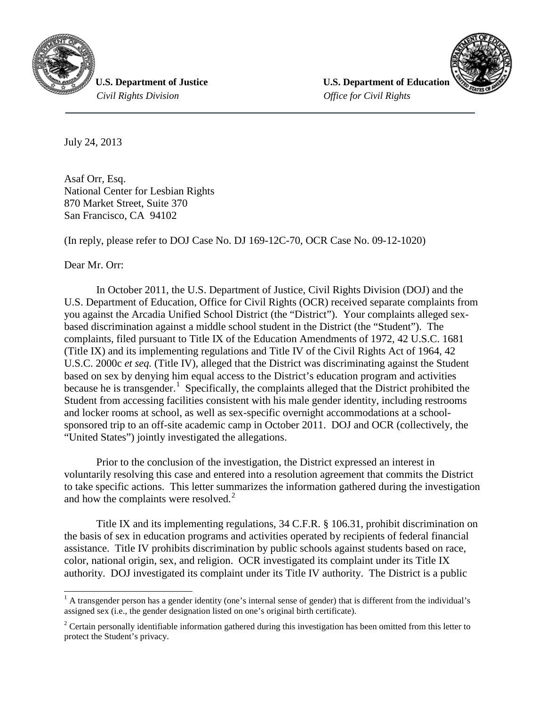

 *Civil Rights Division Office for Civil Rights*

**U.S. Department of Justice**  *U.S. Department of Education* 



July 24, 2013

Asaf Orr, Esq. National Center for Lesbian Rights 870 Market Street, Suite 370 San Francisco, CA 94102

(In reply, please refer to DOJ Case No. DJ 169-12C-70, OCR Case No. 09-12-1020)

Dear Mr. Orr:

In October 2011, the U.S. Department of Justice, Civil Rights Division (DOJ) and the U.S. Department of Education, Office for Civil Rights (OCR) received separate complaints from you against the Arcadia Unified School District (the "District"). Your complaints alleged sexbased discrimination against a middle school student in the District (the "Student"). The complaints, filed pursuant to Title IX of the Education Amendments of 1972, 42 U.S.C. 1681 (Title IX) and its implementing regulations and Title IV of the Civil Rights Act of 1964, 42 U.S.C. 2000c *et seq.* (Title IV), alleged that the District was discriminating against the Student based on sex by denying him equal access to the District's education program and activities because he is transgender.<sup>[1](#page-0-0)</sup> Specifically, the complaints alleged that the District prohibited the Student from accessing facilities consistent with his male gender identity, including restrooms and locker rooms at school, as well as sex-specific overnight accommodations at a schoolsponsored trip to an off-site academic camp in October 2011. DOJ and OCR (collectively, the "United States") jointly investigated the allegations.

Prior to the conclusion of the investigation, the District expressed an interest in voluntarily resolving this case and entered into a resolution agreement that commits the District to take specific actions. This letter summarizes the information gathered during the investigation and how the complaints were resolved.<sup>[2](#page-0-1)</sup>

Title IX and its implementing regulations, 34 C.F.R. § 106.31, prohibit discrimination on the basis of sex in education programs and activities operated by recipients of federal financial assistance. Title IV prohibits discrimination by public schools against students based on race, color, national origin, sex, and religion. OCR investigated its complaint under its Title IX authority. DOJ investigated its complaint under its Title IV authority. The District is a public

<span id="page-0-0"></span> $<sup>1</sup>$  A transgender person has a gender identity (one's internal sense of gender) that is different from the individual's</sup> assigned sex (i.e., the gender designation listed on one's original birth certificate).

<span id="page-0-1"></span><sup>&</sup>lt;sup>2</sup> Certain personally identifiable information gathered during this investigation has been omitted from this letter to protect the Student's privacy.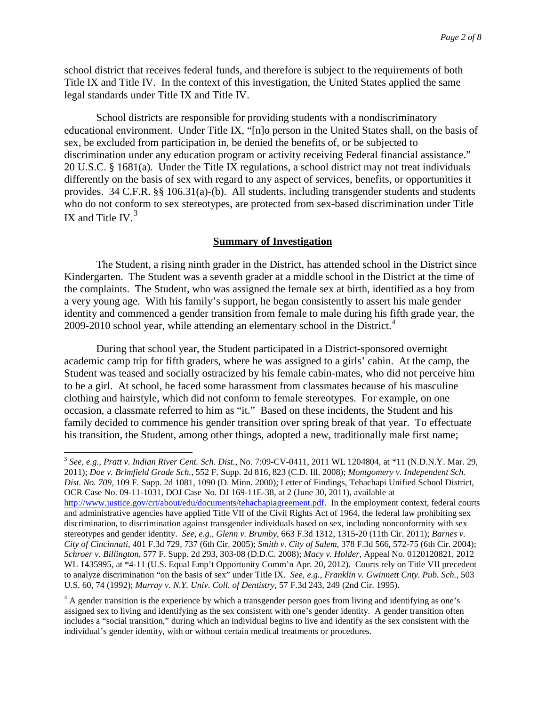school district that receives federal funds, and therefore is subject to the requirements of both Title IX and Title IV. In the context of this investigation, the United States applied the same legal standards under Title IX and Title IV.

School districts are responsible for providing students with a nondiscriminatory educational environment. Under Title IX, "[n]o person in the United States shall, on the basis of sex, be excluded from participation in, be denied the benefits of, or be subjected to discrimination under any education program or activity receiving Federal financial assistance." 20 U.S.C. § 1681(a). Under the Title IX regulations, a school district may not treat individuals differently on the basis of sex with regard to any aspect of services, benefits, or opportunities it provides. 34 C.F.R. §§ 106.31(a)-(b). All students, including transgender students and students who do not conform to sex stereotypes, are protected from sex-based discrimination under Title IX and Title IV. $3$ 

# **Summary of Investigation**

The Student, a rising ninth grader in the District, has attended school in the District since Kindergarten. The Student was a seventh grader at a middle school in the District at the time of the complaints. The Student, who was assigned the female sex at birth, identified as a boy from a very young age. With his family's support, he began consistently to assert his male gender identity and commenced a gender transition from female to male during his fifth grade year, the 2009-2010 school year, while attending an elementary school in the District.<sup>[4](#page-1-1)</sup>

During that school year, the Student participated in a District-sponsored overnight academic camp trip for fifth graders, where he was assigned to a girls' cabin. At the camp, the Student was teased and socially ostracized by his female cabin-mates, who did not perceive him to be a girl. At school, he faced some harassment from classmates because of his masculine clothing and hairstyle, which did not conform to female stereotypes. For example, on one occasion, a classmate referred to him as "it." Based on these incidents, the Student and his family decided to commence his gender transition over spring break of that year. To effectuate his transition, the Student, among other things, adopted a new, traditionally male first name;

<span id="page-1-0"></span> 3 *See, e.g., Pratt v. Indian River Cent. Sch. Dist.,* No. 7:09-CV-0411, 2011 WL 1204804, at \*11 (N.D.N.Y. Mar. 29, 2011); *Doe v. Brimfield Grade Sch.,* 552 F. Supp. 2d 816, 823 (C.D. Ill. 2008); *Montgomery v. Independent Sch. Dist. No. 709*, 109 F. Supp. 2d 1081, 1090 (D. Minn. 2000); Letter of Findings, Tehachapi Unified School District, OCR Case No. 09-11-1031, DOJ Case No. DJ 169-11E-38, at 2 (June 30, 2011), available at [http://www.justice.gov/crt/about/edu/documents/tehachapiagreement.pdf.](http://www.justice.gov/crt/about/edu/documents/tehachapiagreement.pdf) In the employment context, federal courts and administrative agencies have applied Title VII of the Civil Rights Act of 1964, the federal law prohibiting sex discrimination, to discrimination against transgender individuals based on sex, including nonconformity with sex stereotypes and gender identity. *See, e.g., Glenn v. Brumby*, 663 F.3d 1312, 1315-20 (11th Cir. 2011); *Barnes v. City of Cincinnati*, 401 F.3d 729, 737 (6th Cir. 2005); *Smith v. City of Salem*, 378 F.3d 566, 572-75 (6th Cir. 2004); *Schroer v. Billington*, 577 F. Supp. 2d 293, 303-08 (D.D.C. 2008); *Macy v. Holder,* Appeal No. 0120120821, 2012 WL 1435995, at \*4-11 (U.S. Equal Emp't Opportunity Comm'n Apr. 20, 2012). Courts rely on Title VII precedent to analyze discrimination "on the basis of sex" under Title IX. *See, e.g.*, *Franklin v. Gwinnett Cnty. Pub. Sch.*, 503 U.S. 60, 74 (1992); *Murray v. N.Y. Univ. Coll. of Dentistry*, 57 F.3d 243, 249 (2nd Cir. 1995).

<span id="page-1-1"></span><sup>4</sup> A gender transition is the experience by which a transgender person goes from living and identifying as one's assigned sex to living and identifying as the sex consistent with one's gender identity. A gender transition often includes a "social transition," during which an individual begins to live and identify as the sex consistent with the individual's gender identity, with or without certain medical treatments or procedures.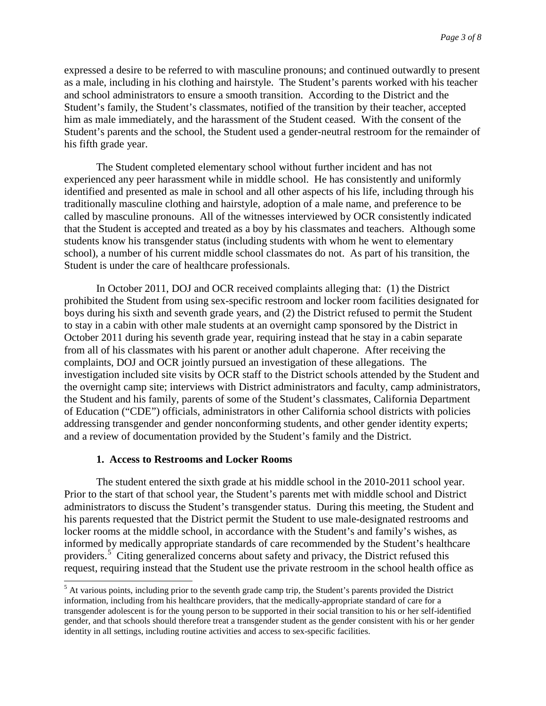expressed a desire to be referred to with masculine pronouns; and continued outwardly to present as a male, including in his clothing and hairstyle. The Student's parents worked with his teacher and school administrators to ensure a smooth transition. According to the District and the Student's family, the Student's classmates, notified of the transition by their teacher, accepted him as male immediately, and the harassment of the Student ceased. With the consent of the Student's parents and the school, the Student used a gender-neutral restroom for the remainder of his fifth grade year.

The Student completed elementary school without further incident and has not experienced any peer harassment while in middle school. He has consistently and uniformly identified and presented as male in school and all other aspects of his life, including through his traditionally masculine clothing and hairstyle, adoption of a male name, and preference to be called by masculine pronouns. All of the witnesses interviewed by OCR consistently indicated that the Student is accepted and treated as a boy by his classmates and teachers. Although some students know his transgender status (including students with whom he went to elementary school), a number of his current middle school classmates do not. As part of his transition, the Student is under the care of healthcare professionals.

In October 2011, DOJ and OCR received complaints alleging that: (1) the District prohibited the Student from using sex-specific restroom and locker room facilities designated for boys during his sixth and seventh grade years, and (2) the District refused to permit the Student to stay in a cabin with other male students at an overnight camp sponsored by the District in October 2011 during his seventh grade year, requiring instead that he stay in a cabin separate from all of his classmates with his parent or another adult chaperone. After receiving the complaints, DOJ and OCR jointly pursued an investigation of these allegations. The investigation included site visits by OCR staff to the District schools attended by the Student and the overnight camp site; interviews with District administrators and faculty, camp administrators, the Student and his family, parents of some of the Student's classmates, California Department of Education ("CDE") officials, administrators in other California school districts with policies addressing transgender and gender nonconforming students, and other gender identity experts; and a review of documentation provided by the Student's family and the District.

## **1. Access to Restrooms and Locker Rooms**

The student entered the sixth grade at his middle school in the 2010-2011 school year. Prior to the start of that school year, the Student's parents met with middle school and District administrators to discuss the Student's transgender status. During this meeting, the Student and his parents requested that the District permit the Student to use male-designated restrooms and locker rooms at the middle school, in accordance with the Student's and family's wishes, as informed by medically appropriate standards of care recommended by the Student's healthcare providers.<sup>[5](#page-2-0)</sup> Citing generalized concerns about safety and privacy, the District refused this request, requiring instead that the Student use the private restroom in the school health office as

<span id="page-2-0"></span><sup>&</sup>lt;sup>5</sup> At various points, including prior to the seventh grade camp trip, the Student's parents provided the District information, including from his healthcare providers, that the medically-appropriate standard of care for a transgender adolescent is for the young person to be supported in their social transition to his or her self-identified gender, and that schools should therefore treat a transgender student as the gender consistent with his or her gender identity in all settings, including routine activities and access to sex-specific facilities.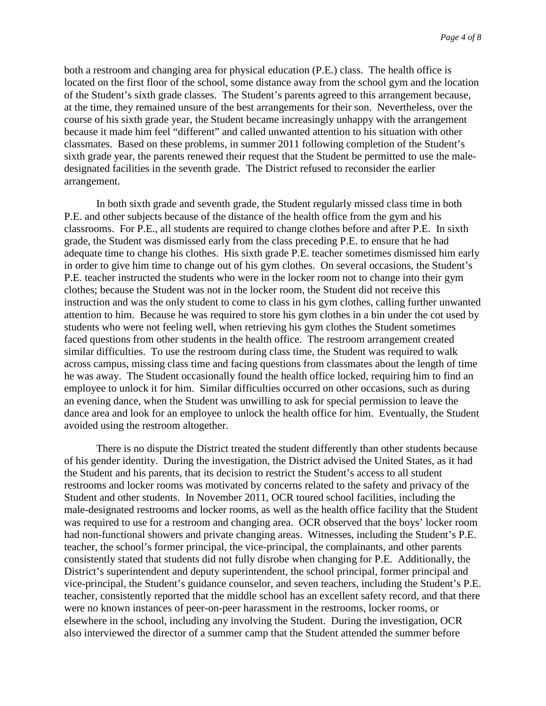both a restroom and changing area for physical education (P.E.) class. The health office is located on the first floor of the school, some distance away from the school gym and the location of the Student's sixth grade classes. The Student's parents agreed to this arrangement because, at the time, they remained unsure of the best arrangements for their son. Nevertheless, over the course of his sixth grade year, the Student became increasingly unhappy with the arrangement because it made him feel "different" and called unwanted attention to his situation with other classmates. Based on these problems, in summer 2011 following completion of the Student's sixth grade year, the parents renewed their request that the Student be permitted to use the maledesignated facilities in the seventh grade. The District refused to reconsider the earlier arrangement.

In both sixth grade and seventh grade, the Student regularly missed class time in both P.E. and other subjects because of the distance of the health office from the gym and his classrooms. For P.E., all students are required to change clothes before and after P.E. In sixth grade, the Student was dismissed early from the class preceding P.E. to ensure that he had adequate time to change his clothes. His sixth grade P.E. teacher sometimes dismissed him early in order to give him time to change out of his gym clothes. On several occasions, the Student's P.E. teacher instructed the students who were in the locker room not to change into their gym clothes; because the Student was not in the locker room, the Student did not receive this instruction and was the only student to come to class in his gym clothes, calling further unwanted attention to him. Because he was required to store his gym clothes in a bin under the cot used by students who were not feeling well, when retrieving his gym clothes the Student sometimes faced questions from other students in the health office. The restroom arrangement created similar difficulties. To use the restroom during class time, the Student was required to walk across campus, missing class time and facing questions from classmates about the length of time he was away. The Student occasionally found the health office locked, requiring him to find an employee to unlock it for him. Similar difficulties occurred on other occasions, such as during an evening dance, when the Student was unwilling to ask for special permission to leave the dance area and look for an employee to unlock the health office for him. Eventually, the Student avoided using the restroom altogether.

There is no dispute the District treated the student differently than other students because of his gender identity. During the investigation, the District advised the United States, as it had the Student and his parents, that its decision to restrict the Student's access to all student restrooms and locker rooms was motivated by concerns related to the safety and privacy of the Student and other students. In November 2011, OCR toured school facilities, including the male-designated restrooms and locker rooms, as well as the health office facility that the Student was required to use for a restroom and changing area. OCR observed that the boys' locker room had non-functional showers and private changing areas. Witnesses, including the Student's P.E. teacher, the school's former principal, the vice-principal, the complainants, and other parents consistently stated that students did not fully disrobe when changing for P.E. Additionally, the District's superintendent and deputy superintendent, the school principal, former principal and vice-principal, the Student's guidance counselor, and seven teachers, including the Student's P.E. teacher, consistently reported that the middle school has an excellent safety record, and that there were no known instances of peer-on-peer harassment in the restrooms, locker rooms, or elsewhere in the school, including any involving the Student. During the investigation, OCR also interviewed the director of a summer camp that the Student attended the summer before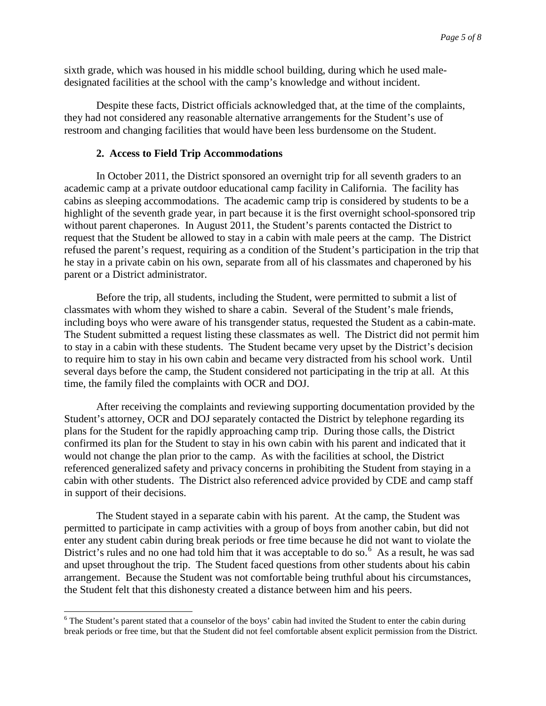sixth grade, which was housed in his middle school building, during which he used maledesignated facilities at the school with the camp's knowledge and without incident.

Despite these facts, District officials acknowledged that, at the time of the complaints, they had not considered any reasonable alternative arrangements for the Student's use of restroom and changing facilities that would have been less burdensome on the Student.

## **2. Access to Field Trip Accommodations**

In October 2011, the District sponsored an overnight trip for all seventh graders to an academic camp at a private outdoor educational camp facility in California. The facility has cabins as sleeping accommodations. The academic camp trip is considered by students to be a highlight of the seventh grade year, in part because it is the first overnight school-sponsored trip without parent chaperones. In August 2011, the Student's parents contacted the District to request that the Student be allowed to stay in a cabin with male peers at the camp. The District refused the parent's request, requiring as a condition of the Student's participation in the trip that he stay in a private cabin on his own, separate from all of his classmates and chaperoned by his parent or a District administrator.

Before the trip, all students, including the Student, were permitted to submit a list of classmates with whom they wished to share a cabin. Several of the Student's male friends, including boys who were aware of his transgender status, requested the Student as a cabin-mate. The Student submitted a request listing these classmates as well. The District did not permit him to stay in a cabin with these students. The Student became very upset by the District's decision to require him to stay in his own cabin and became very distracted from his school work. Until several days before the camp, the Student considered not participating in the trip at all. At this time, the family filed the complaints with OCR and DOJ.

After receiving the complaints and reviewing supporting documentation provided by the Student's attorney, OCR and DOJ separately contacted the District by telephone regarding its plans for the Student for the rapidly approaching camp trip. During those calls, the District confirmed its plan for the Student to stay in his own cabin with his parent and indicated that it would not change the plan prior to the camp. As with the facilities at school, the District referenced generalized safety and privacy concerns in prohibiting the Student from staying in a cabin with other students. The District also referenced advice provided by CDE and camp staff in support of their decisions.

The Student stayed in a separate cabin with his parent. At the camp, the Student was permitted to participate in camp activities with a group of boys from another cabin, but did not enter any student cabin during break periods or free time because he did not want to violate the District's rules and no one had told him that it was acceptable to do so.<sup>[6](#page-4-0)</sup> As a result, he was sad and upset throughout the trip. The Student faced questions from other students about his cabin arrangement. Because the Student was not comfortable being truthful about his circumstances, the Student felt that this dishonesty created a distance between him and his peers.

<span id="page-4-0"></span><sup>&</sup>lt;sup>6</sup> The Student's parent stated that a counselor of the boys' cabin had invited the Student to enter the cabin during break periods or free time, but that the Student did not feel comfortable absent explicit permission from the District.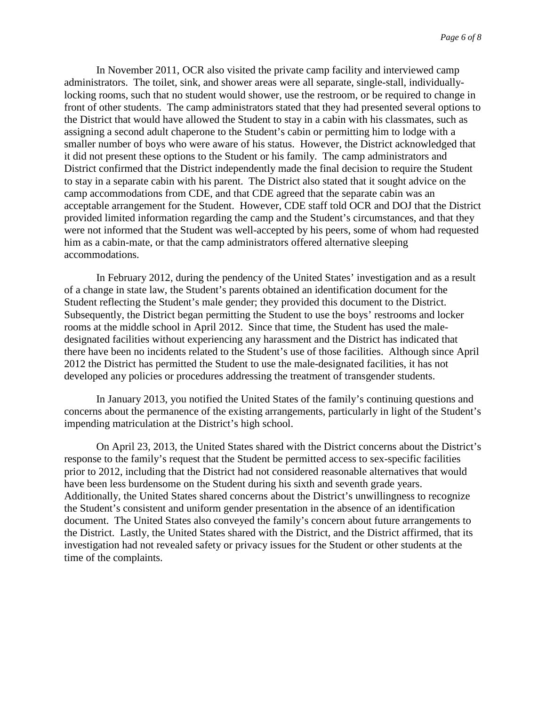In November 2011, OCR also visited the private camp facility and interviewed camp administrators. The toilet, sink, and shower areas were all separate, single-stall, individuallylocking rooms, such that no student would shower, use the restroom, or be required to change in front of other students. The camp administrators stated that they had presented several options to the District that would have allowed the Student to stay in a cabin with his classmates, such as assigning a second adult chaperone to the Student's cabin or permitting him to lodge with a smaller number of boys who were aware of his status. However, the District acknowledged that it did not present these options to the Student or his family. The camp administrators and District confirmed that the District independently made the final decision to require the Student to stay in a separate cabin with his parent. The District also stated that it sought advice on the camp accommodations from CDE, and that CDE agreed that the separate cabin was an acceptable arrangement for the Student. However, CDE staff told OCR and DOJ that the District provided limited information regarding the camp and the Student's circumstances, and that they were not informed that the Student was well-accepted by his peers, some of whom had requested him as a cabin-mate, or that the camp administrators offered alternative sleeping accommodations.

In February 2012, during the pendency of the United States' investigation and as a result of a change in state law, the Student's parents obtained an identification document for the Student reflecting the Student's male gender; they provided this document to the District. Subsequently, the District began permitting the Student to use the boys' restrooms and locker rooms at the middle school in April 2012. Since that time, the Student has used the maledesignated facilities without experiencing any harassment and the District has indicated that there have been no incidents related to the Student's use of those facilities. Although since April 2012 the District has permitted the Student to use the male-designated facilities, it has not developed any policies or procedures addressing the treatment of transgender students.

In January 2013, you notified the United States of the family's continuing questions and concerns about the permanence of the existing arrangements, particularly in light of the Student's impending matriculation at the District's high school.

On April 23, 2013, the United States shared with the District concerns about the District's response to the family's request that the Student be permitted access to sex-specific facilities prior to 2012, including that the District had not considered reasonable alternatives that would have been less burdensome on the Student during his sixth and seventh grade years. Additionally, the United States shared concerns about the District's unwillingness to recognize the Student's consistent and uniform gender presentation in the absence of an identification document. The United States also conveyed the family's concern about future arrangements to the District. Lastly, the United States shared with the District, and the District affirmed, that its investigation had not revealed safety or privacy issues for the Student or other students at the time of the complaints.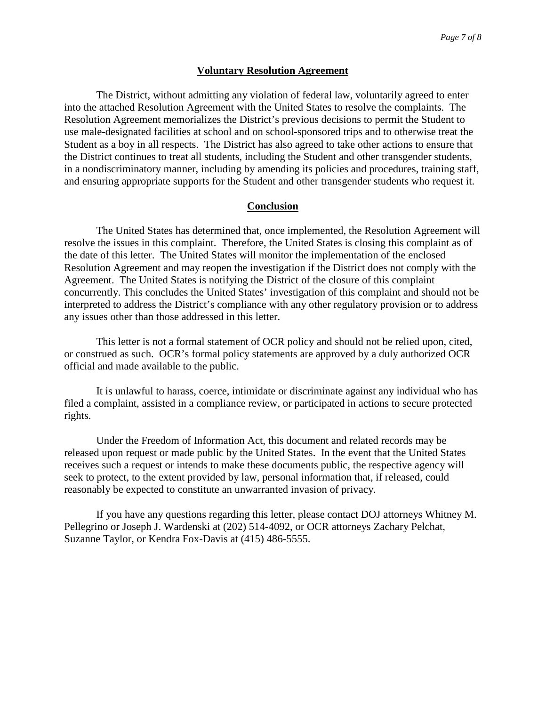#### **Voluntary Resolution Agreement**

The District, without admitting any violation of federal law, voluntarily agreed to enter into the attached Resolution Agreement with the United States to resolve the complaints. The Resolution Agreement memorializes the District's previous decisions to permit the Student to use male-designated facilities at school and on school-sponsored trips and to otherwise treat the Student as a boy in all respects. The District has also agreed to take other actions to ensure that the District continues to treat all students, including the Student and other transgender students, in a nondiscriminatory manner, including by amending its policies and procedures, training staff, and ensuring appropriate supports for the Student and other transgender students who request it.

#### **Conclusion**

The United States has determined that, once implemented, the Resolution Agreement will resolve the issues in this complaint. Therefore, the United States is closing this complaint as of the date of this letter. The United States will monitor the implementation of the enclosed Resolution Agreement and may reopen the investigation if the District does not comply with the Agreement. The United States is notifying the District of the closure of this complaint concurrently. This concludes the United States' investigation of this complaint and should not be interpreted to address the District's compliance with any other regulatory provision or to address any issues other than those addressed in this letter.

This letter is not a formal statement of OCR policy and should not be relied upon, cited, or construed as such. OCR's formal policy statements are approved by a duly authorized OCR official and made available to the public.

It is unlawful to harass, coerce, intimidate or discriminate against any individual who has filed a complaint, assisted in a compliance review, or participated in actions to secure protected rights.

Under the Freedom of Information Act, this document and related records may be released upon request or made public by the United States. In the event that the United States receives such a request or intends to make these documents public, the respective agency will seek to protect, to the extent provided by law, personal information that, if released, could reasonably be expected to constitute an unwarranted invasion of privacy.

If you have any questions regarding this letter, please contact DOJ attorneys Whitney M. Pellegrino or Joseph J. Wardenski at (202) 514-4092, or OCR attorneys Zachary Pelchat, Suzanne Taylor, or Kendra Fox-Davis at (415) 486-5555.